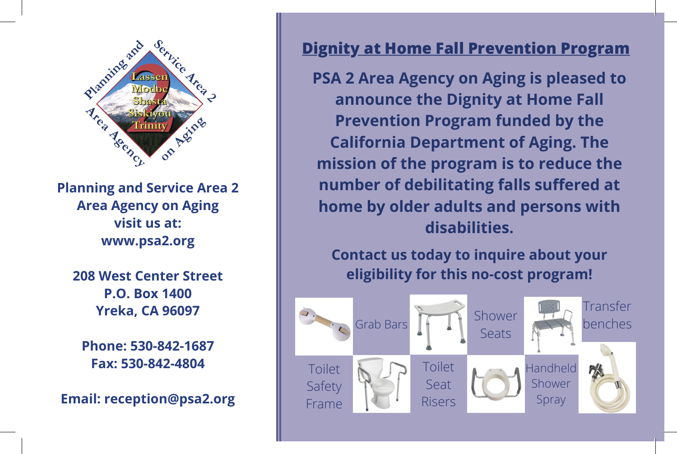

**Planning and Service Area 2 Planning and Service Area 2 Area Agency on Aging Area Agency on Aging visit us at: www.psa2.org www.psa2.org**

**208 West Center Street P.O. Box 1400 P.O. Box 1400 Yreka, CA 96097 Phone:** 530-842-842-1687

**Phone: 530-842-1687**  $\begin{array}{c|c} \texttt{Fax: 530-842-4804} \end{array}$ 

**Email: reception@psa2.org**

Safety

## **Physis 2 Area Agency 2 Area Agency Concrete to Area Agency 2 Area Agency 2 Area Agency 2 Area Agency 2 Area Agency**

**Dignity at Home Fall Prevention Program**

**PSA 2 Area Agency on Aging is pleased to Program funded by an announce the Dignity at Home Fall Prevention Program funded by the state of the state of the state of the state of the state of the state of the state of the state of the state of the state of the state of the state of the state of the state of the state probalifornia Department of Aging. The**<br> **Property of the nucleus is to reduce the definitive by number of debilitating falls suffered at**  $\parallel$  **home by older adults and persons with**  $\parallel$ **mission of the program is to reduce the disabilities.**

**Contact us today to inquire about your Contact us today to inquire about your eligibility for this no-cost program!**